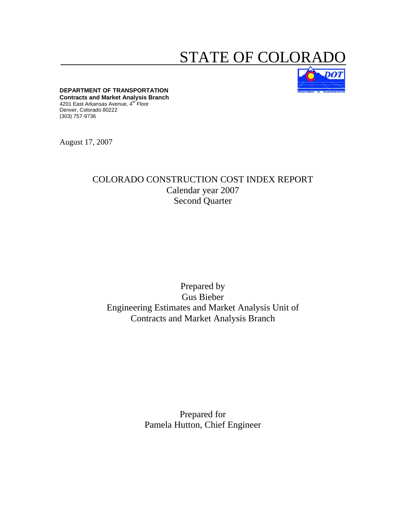# STATE OF COLORA



**DEPARTMENT OF TRANSPORTATION Contracts and Market Analysis Branch**  4201 East Arkansas Avenue, 4<sup>th</sup> Floor Denver, Colorado 80222 (303) 757-9736

August 17, 2007

# COLORADO CONSTRUCTION COST INDEX REPORT Calendar year 2007 Second Quarter

# Prepared by Gus Bieber Engineering Estimates and Market Analysis Unit of Contracts and Market Analysis Branch

Prepared for Pamela Hutton, Chief Engineer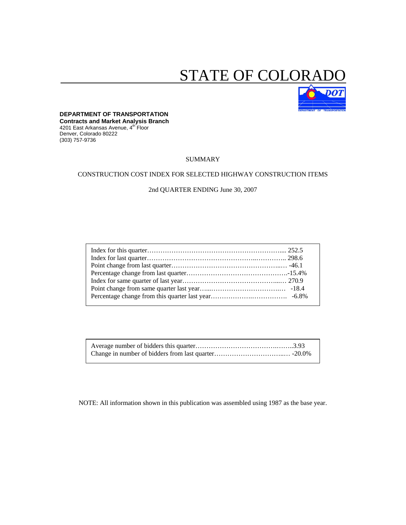# STATE OF COLORA



# **DEPARTMENT OF TRANSPORTATION**

**Contracts and Market Analysis Branch**  4201 East Arkansas Avenue, 4th Floor Denver, Colorado 80222 (303) 757-9736

#### SUMMARY

#### CONSTRUCTION COST INDEX FOR SELECTED HIGHWAY CONSTRUCTION ITEMS

## 2nd QUARTER ENDING June 30, 2007

NOTE: All information shown in this publication was assembled using 1987 as the base year.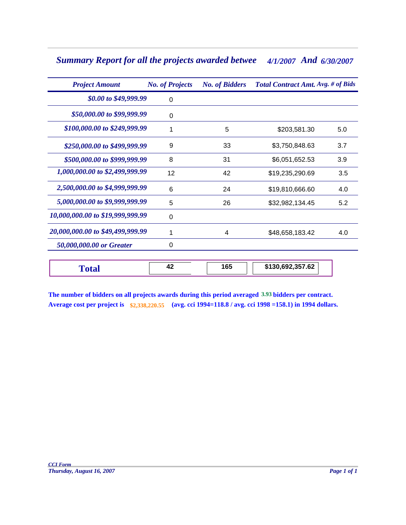# Summary Report for all the projects awarded betwee 4/1/2007 And 6/30/2007

| <b>Project Amount</b>            | <b>No. of Projects</b> | <b>No. of Bidders</b> | <b>Total Contract Amt. Avg. # of Bids</b> |     |  |  |
|----------------------------------|------------------------|-----------------------|-------------------------------------------|-----|--|--|
| \$0.00 to \$49,999.99            | $\Omega$               |                       |                                           |     |  |  |
| \$50,000.00 to \$99,999.99       | 0                      |                       |                                           |     |  |  |
| \$100,000.00 to \$249,999.99     |                        | 5                     | \$203,581.30                              | 5.0 |  |  |
| \$250,000.00 to \$499,999.99     | 9                      | 33                    | \$3,750,848.63                            | 3.7 |  |  |
| \$500,000.00 to \$999,999.99     | 8                      | 31                    | \$6,051,652.53                            | 3.9 |  |  |
| 1,000,000.00 to \$2,499,999.99   | 12                     | 42                    | \$19,235,290.69                           | 3.5 |  |  |
| 2,500,000.00 to \$4,999,999.99   | 6                      | 24                    | \$19,810,666.60                           | 4.0 |  |  |
| 5,000,000.00 to \$9,999,999.99   | 5                      | 26                    | \$32,982,134.45                           | 5.2 |  |  |
| 10,000,000.00 to \$19,999,999.99 | 0                      |                       |                                           |     |  |  |
| 20,000,000.00 to \$49,499,999.99 |                        | 4                     | \$48,658,183.42                           | 4.0 |  |  |
| 50,000,000.00 or Greater         | 0                      |                       |                                           |     |  |  |
| <b>Total</b>                     | 42                     | 165                   | \$130,692,357.62                          |     |  |  |

**The number of bidders on all projects awards during this period averaged 3.93 bidders per contract. Average cost per project is \$2,338,220.55 (avg. cci 1994=118.8 / avg. cci 1998 =158.1) in 1994 dollars.**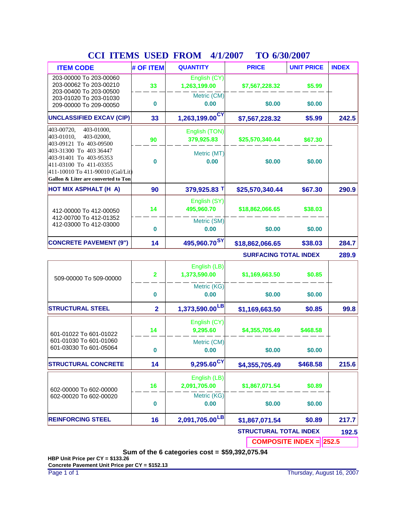| <b>COL TTERNO</b>                                                                                                                                     | <b>UDLD</b>    | <b>TITOINI</b><br>TI 11/400 I | <b>TO MONDADI</b>            |                   |              |
|-------------------------------------------------------------------------------------------------------------------------------------------------------|----------------|-------------------------------|------------------------------|-------------------|--------------|
| <b>ITEM CODE</b>                                                                                                                                      | # OF ITEM      | <b>QUANTITY</b>               | <b>PRICE</b>                 | <b>UNIT PRICE</b> | <b>INDEX</b> |
| 203-00000 To 203-00060<br>203-00062 To 203-00210<br>203-00400 To 203-00500                                                                            | 33             | English (CY)<br>1,263,199.00  | \$7,567,228.32               | \$5.99            |              |
| 203-01020 To 203-01030<br>209-00000 To 209-00050                                                                                                      | 0              | Metric (CM)<br>0.00           | \$0.00                       | \$0.00            |              |
| <b>UNCLASSIFIED EXCAV (CIP)</b>                                                                                                                       | 33             | 1,263,199.00 <sup>CY</sup>    | \$7,567,228.32               | \$5.99            | 242.5        |
| 403-00720,<br>403-01000,<br>403-01010,<br>403-02000.<br>403-09121 To 403-09500                                                                        | 90             | English (TON)<br>379,925.83   | \$25,570,340.44              | \$67.30           |              |
| 403-31300 To 403 36447<br>403-91401 To 403-95353<br>411-03100 To 411-03355<br>411-10010 To 411-90010 (Gal/Lit)<br>Gallon & Liter are converted to Ton | 0              | Metric (MT)<br>0.00           | \$0.00                       | \$0.00            |              |
| HOT MIX ASPHALT (H A)                                                                                                                                 | 90             | 379,925.83 T                  | \$25,570,340.44              | \$67.30           | 290.9        |
| 412-00000 To 412-00050<br>412-00700 To 412-01352<br>412-03000 To 412-03000                                                                            | 14             | English (SY)<br>495,960.70    | \$18,862,066.65              | \$38.03           |              |
|                                                                                                                                                       | 0              | Metric (SM)<br>0.00           | \$0.00                       | \$0.00            |              |
| <b>CONCRETE PAVEMENT (9")</b>                                                                                                                         | 14             | 495,960.70 <sup>SY</sup>      | \$18,862,066.65              | \$38.03           | 284.7        |
|                                                                                                                                                       |                |                               | <b>SURFACING TOTAL INDEX</b> |                   | 289.9        |
| 509-00000 To 509-00000                                                                                                                                | 2              | English (LB)<br>1,373,590.00  | \$1,169,663.50               | \$0.85            |              |
|                                                                                                                                                       | 0              | Metric (KG)<br>0.00           | \$0.00                       | \$0.00            |              |
| <b>STRUCTURAL STEEL</b>                                                                                                                               | $\overline{2}$ | $1,373,590.00$ <sup>LB</sup>  | \$1,169,663.50               | \$0.85            | 99.8         |
| 601-01022 To 601-01022                                                                                                                                | 14             | English (CY)<br>9,295.60      | \$4,355,705.49               | \$468.58          |              |
| 601-01030 To 601-01060<br>601-03030 To 601-05064                                                                                                      | 0              | Metric (CM)<br>0.00           | \$0.00                       | \$0.00            |              |
| <b>STRUCTURAL CONCRETE</b>                                                                                                                            | 14             | 9,295.60 <sup>CY</sup>        | \$4,355,705.49               | \$468.58          | 215.6        |
| 602-00000 To 602-00000                                                                                                                                | 16             | English (LB)<br>2,091,705.00  | \$1,867,071.54               | \$0.89            |              |
| 602-00020 To 602-00020                                                                                                                                | 0              | Metric (KG)<br>0.00           | \$0.00                       | \$0.00            |              |

# **CCI ITEMS USED FROM TO 4/1/2007 6/30/2007**

**STRUCTURAL TOTAL INDEX 192.5**

**\$0.89**

**217.7**

**COMPOSITE INDEX = 252.5**

**Sum of the 6 categories cost = \$59,392,075.94**

**REINFORCING STEEL 16 2,091,705.00**<sup>LB</sup> \$1,867,071.54

**HBP Unit Price per CY = \$133.26 Concrete Pavement Unit Price per CY = \$152.13**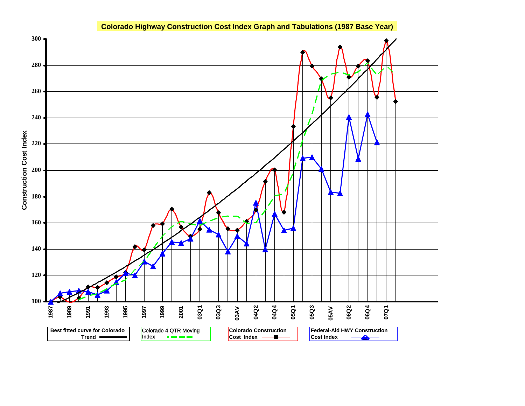

# **Colorado Highway Construction Cost Index Graph and Tabulations (1987 Base Year)**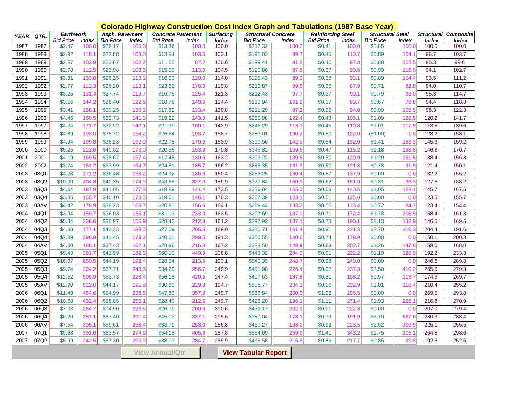|             |                                                      |                  |       | <b>Colorado Highway Construction Cost Index Graph and Tabulations (1987 Base Year)</b> |                       |                          |              |                  |                            |              |                          |       |                         |                 |       |                             |
|-------------|------------------------------------------------------|------------------|-------|----------------------------------------------------------------------------------------|-----------------------|--------------------------|--------------|------------------|----------------------------|--------------|--------------------------|-------|-------------------------|-----------------|-------|-----------------------------|
| <b>YEAR</b> | QTR.                                                 | <b>Earthwork</b> |       |                                                                                        | <b>Asph. Pavement</b> | <b>Concrete Pavement</b> |              | <b>Surfacing</b> | <b>Structural Concrete</b> |              | <b>Reinforcing Steel</b> |       | <b>Structural Steel</b> |                 |       | <b>Structural Composite</b> |
|             |                                                      | <b>Bid Price</b> | Index | <b>Bid Price</b>                                                                       | Index                 | <b>Bid Price</b>         | <b>Index</b> | <b>Index</b>     | <b>Bid Price</b>           | Index        | <b>Bid Price</b>         | Index | <b>Bid Price</b>        | Index           | Index | <b>Index</b>                |
| 1987        | 1987                                                 | \$2.47           | 100.0 | \$23.17                                                                                | 100.C                 | \$13.36                  | 100.0        | 100.0            | \$217.32                   | 100.0        | \$0.41                   | 100.0 | \$0.85                  | 100.0           | 100.0 | 100.0                       |
| 1988        | 1988                                                 | \$2.92           | 118.  | \$23.88                                                                                | 103.0                 | \$13.84                  | 103.6        | 103.1            | \$195.02                   | 89.7         | \$0.45                   | 110.7 | \$0.89                  | 104.1           | 96.7  | 103.7                       |
| 1989        | 1989                                                 | \$2.57           | 103.  | \$23.67                                                                                | 102.                  | \$11.65                  | 87.2         | 100.6            | \$199.41                   | 91.8         | \$0.40                   | 97.8  | \$0.88                  | 103.5           | 95.3  | 99.6                        |
| 1990        | 1990                                                 | \$2.78           | 112.5 | \$23.98                                                                                | 103.5                 | \$15.09                  | 113.0        | 104.5            | \$190.86                   | 87.8         | \$0.37                   | 90.8  | \$0.99                  | 116.0           | 94.1  | 102.7                       |
| 1991        | 1991                                                 | \$3.31           | 133.8 | \$26.25                                                                                | 113.3                 | \$16.03                  | 120.0        | 114.0            | \$195.43                   | 89.9         | \$0.38                   | 93.7  | \$0.89                  | 104.4           | 93.5  | 111.2                       |
| 1992        | 1992                                                 | \$2.77           | 112.3 | \$26.20                                                                                | 113.7                 | \$23.82                  | 178.3        | 119.8            | \$216.87                   | 99.8         | \$0.36                   | 87.9  | \$0.71                  | 82.8            | 94.0  | 110.7                       |
| 1993        | 1993                                                 | \$3.25           | 131.4 | \$27.74                                                                                | 119.7                 | \$16.75                  | 125.4        | 121.3            | \$212.43                   | 97.7         | \$0.37                   | 90.   | \$0.79                  | 93.0            | 95.3  | 114.7                       |
| 1994        | 1994                                                 | \$3.56           | 144.2 | \$28.40                                                                                | 122.6                 | \$18.78                  | 140.6        | 124.4            | \$219.94                   | 101.2        | \$0.37                   | 89.7  | \$0.67                  | 78.8            | 94.4  | 118.8                       |
| 1995        | 1995                                                 | \$3.41           | 138.  | \$30.25                                                                                | 130.5                 | \$17.82                  | 133.4        | 130.8            | \$211.29                   | 97.2         | \$0.39                   | 94.0  | \$0.90                  | 105.5           | 98.3  | 122.3                       |
| 1996        | 1996                                                 | \$4.46           | 180.  | \$32.73                                                                                | 141.3                 | \$19.22                  | 143.9        | 141.5            | \$265.98                   | 122.4        | \$0.43                   | 105.  | \$1.09                  | 128.5           | 120.2 | 141.7                       |
| 1997        | 1997                                                 | \$4.24           | 171.7 | \$32.92                                                                                | 142.                  | \$21.39                  | 160.7        | 143.9            | \$246.29                   | 113.3        | \$0.45                   | 110.8 | \$1.01                  | 117.9           | 113.8 | 139.6                       |
| 1998        | 1998                                                 | \$4.89           | 198.0 | \$35.72                                                                                | 154.2                 | \$26.54                  | 198.7        | 158.7            | \$283.01                   | 130.2        | \$0.50                   | 122.0 | (\$1.00)                | $-1.0$          | 128.2 | 158.1                       |
| 1999        | 1999                                                 | \$4.94           | 199.8 | \$35.23                                                                                | 152.0                 | \$22.78                  | 170.5        | 153.9            | \$310.56                   | 142.9        | \$0.54                   | 132.0 | \$1.41                  | 165.3           | 145.3 | 159.2                       |
| 2000        | 2000                                                 | \$5.25           | 212.6 | \$40.02                                                                                | 173.0                 | \$20.56                  | 153.9        | 170.8            | \$346.82                   | 159.6        | \$0.47                   | 115.2 | \$1.18                  | 138.8           | 146.8 | 170.7                       |
| 2001        | 2001                                                 | \$4.19           | 169.  | \$38.67                                                                                | 167.4                 | \$17.45                  | 130.6        | 163.2            | \$303.22                   | 139.5        | \$0.50                   | 120.9 | \$1.29                  | 151.5           | 138.4 | 156.8                       |
| 2002        | 2002                                                 | \$3.74           | 151.3 | \$37.99                                                                                | 164.7                 | \$24.81                  | 185.7        | 166.2            | \$285.35                   | 131.3        | \$0.50                   | 121.3 | \$0.78                  | 91.9            | 121.4 | 150.1                       |
| 2003        | 03Q1                                                 | \$4.23           | 171.2 | \$36.48                                                                                | 158.2                 | \$24.92                  | 186.6        | 160.4            | \$283.25                   | 130.4        | \$0.57                   | 137.9 | \$0.00                  | 0. <sub>C</sub> | 132.2 | 155.2                       |
| 2003        | 03Q2                                                 | \$10.00          | 404.8 | \$40.35                                                                                | 174.9                 | \$43.68                  | 327.0        | 189.9            | \$327.84                   | 150.9        | \$0.62                   | 151.9 | \$0.31                  | 36.3            | 127.8 | 183.2                       |
| 2003        | 03Q3                                                 | \$4.64           | 187.9 | \$41.05                                                                                | 177.5                 | \$18.89                  | 141.4        | 173.5            | \$336.84                   | 155.0        | \$0.58                   | 140.5 | \$1.05                  | 123.1           | 145.7 | 167.6                       |
| 2003        | 03Q4                                                 | \$3.85           | 155.7 | \$40.10                                                                                | 173.5                 | \$19.51                  | 146.         | 170.3            | \$267.39                   | 123.7        | \$0.51                   | 125.0 | \$0.00                  | 0.0             | 123.5 | 155.7                       |
| 2003        | 03AV                                                 | \$4.42           | 178.9 | \$38.23                                                                                | 165.7                 | \$20.91                  | 156.6        | 164.1            | \$289.44                   | 133.2        | \$0.55                   | 133.4 | \$0.72                  | 84.7            | 123.4 | 154.4                       |
| 2004        | 04Q1                                                 | \$3.94           | 159.7 | \$36.03                                                                                | 156.                  | \$31.13                  | 233.0        | 163.5            | \$297.69                   | 137.0        | \$0.71                   | 172.4 | \$1.78                  | 208.9           | 158.4 | 161.3                       |
| 2004        | 04Q2                                                 | \$5.84           | 236.6 | \$35.97                                                                                | 155.9                 | \$28.42                  | 212.8        | 161.2            | \$297.92                   | 137.1        | \$0.78                   | 190.  | \$1.13                  | 132.9           | 146.5 | 169.6                       |
| 2004        | 04Q3                                                 | \$4.38           | 177.  | \$43.33                                                                                | <b>188.0</b>          | \$27.59                  | 206.5        | 189.0            | \$350.71                   | 161.4        | \$0.91                   | 221.3 | \$2.70                  | 316.3           | 204.4 | 191.6                       |
| 2004        | 04Q4                                                 | \$7.39           | 298.  | \$41.45                                                                                | 179.                  | \$40.01                  | 299.5        | 191.3            | \$305.55                   | 140.6        | \$0.74                   | 179.9 | \$0.00                  | 0. <sub>C</sub> | 150.1 | 200.3                       |
| 2004        | 04AV                                                 | \$4.60           | 186.  | \$37.43                                                                                | 162.                  | \$28.96                  | 216.8        | 167.2            | \$323.50                   | 148.9        | \$0.83                   | 202.7 | \$1.26                  | 147.6           | 159.0 | 168.0                       |
| 2005        | 05Q1                                                 | \$9.43           | 381.  | \$41.99                                                                                | 182.                  | \$60.10                  | 449.9        | 208.8            | \$443.32                   | 204.0        | \$0.91                   | 222.  | \$1.10                  | 128.9           | 192.2 | 233.3                       |
| 2005        | 05Q2                                                 | \$16.07          | 650.  | \$44.19                                                                                | 192.4                 | \$28.54                  | 213.6        | 193.1            | \$540.39                   | 248.7        | \$0.98                   | 240.0 | \$0.00                  | 0.0             | 246.6 | 289.8                       |
| 2005        | 05Q3                                                 | \$9.74           | 394.  | \$57.71                                                                                | 249.                  | \$34.29                  | 256.7        | 249.9            | \$491.90                   | 226.4        | \$0.97                   | 237.  | \$3.50                  | 410.2           | 265.9 | 279.3                       |
| 2005        | 05Q4                                                 | \$12.52          | 506.  | \$52.73                                                                                | 228.                  | \$56.18                  | 420.5        | 247.4            | \$407.63                   | 187.6        | \$0.81                   | 198.  | \$0.97                  | 113.7           | 174.6 | 269.7                       |
| 2005        | 05AV                                                 | \$12.90          | 522.  | \$44.17                                                                                | 191.8                 | \$30.69                  | 229.8        | 194.7            | \$508.77                   | 234.         | \$0.96                   | 232.9 | \$1.01                  | 118.4           | 210.4 | 255.2                       |
| 2006        | 06Q1                                                 | \$11.48          | 464.  | \$54.99                                                                                | 238.                  | \$47.80                  | 357.8        | 249.7            | \$566.84                   | 260.9        | \$1.22                   | 296.  | \$0.00                  | 0.0             | 269.5 | 293.8                       |
| 2006        | 06Q2                                                 | \$10.68          | 432.  | \$58.85                                                                                | 255.                  | \$28.40                  | 212.6        | 249.7            | \$426.20                   | 196.         | \$1.11                   | 271.4 | \$1.93                  | 226.7           | 216.8 | 270.9                       |
| 2006        | 06Q3                                                 | \$7.03           | 284.  | \$74.90                                                                                | 323.                  | \$26.79                  | 200.6        | 310.6            | \$439.17                   | 202.7        | \$0.91                   | 222.  | \$0.00                  | 0. <sub>C</sub> | 207.0 | 279.4                       |
| 2006        | 06Q4                                                 | \$6.20           | 251.  | \$67.40                                                                                | 291.4                 | \$45.03                  | 337.1        | 295.6            | \$387.04                   | 178.         | \$0.79                   | 191.9 | \$5.70                  | 667.6           | 280.3 | 283.4                       |
| 2006        | 06AV                                                 | \$7.54           | 305.  | \$59.61                                                                                | 258.4                 | \$33.79                  | 253.0        | 256.8            | \$430.27                   | <b>198.0</b> | \$0.92                   | 223.  | \$2.62                  | 306.9           | 225.1 | 255.5                       |
| 2007        | 07Q1                                                 | \$9.68           | 391.  | \$63.57                                                                                | 274.9                 | \$54.18                  | 405.6        | 287.8            | \$564.69                   | 259.9        | \$1.41                   | 343.2 | \$1.75                  | 205.7           | 264.8 | 298.6                       |
| 2007        | 07Q2                                                 | \$5.99           | 242.  | \$67.30                                                                                | 290.9                 | \$38.03                  | 284.7        | 289.9            | \$468.58                   | 215.6        | \$0.89                   | 217.7 | \$0.85                  | 99.8            | 192.5 | 252.5                       |
|             |                                                      |                  |       |                                                                                        |                       |                          |              |                  |                            |              |                          |       |                         |                 |       |                             |
|             | <b>View Tabular Report</b><br><b>View Annual/Qtr</b> |                  |       |                                                                                        |                       |                          |              |                  |                            |              |                          |       |                         |                 |       |                             |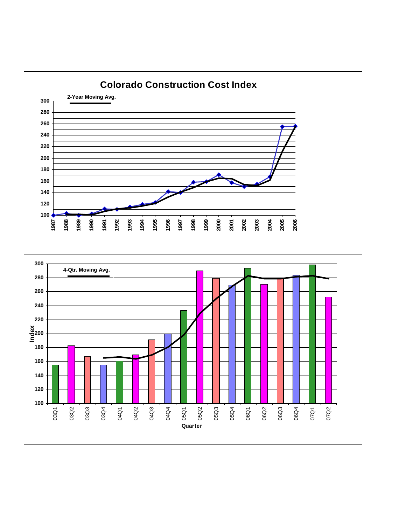